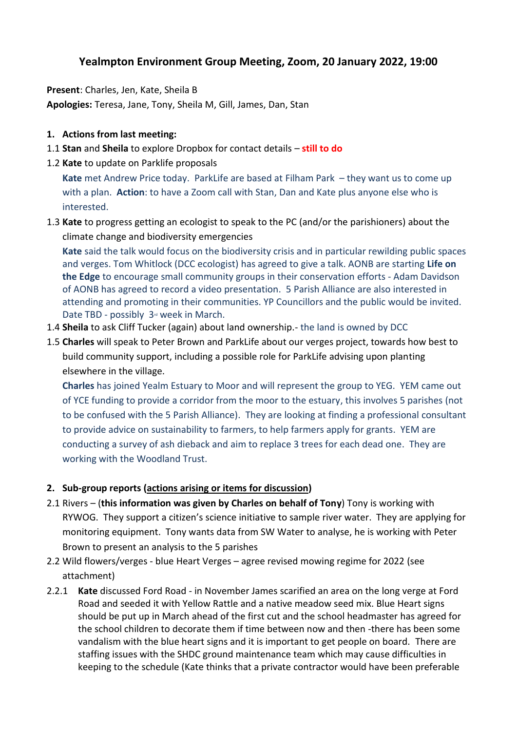## **Yealmpton Environment Group Meeting, Zoom, 20 January 2022, 19:00**

**Present**: Charles, Jen, Kate, Sheila B **Apologies:** Teresa, Jane, Tony, Sheila M, Gill, James, Dan, Stan

## **1. Actions from last meeting:**

- 1.1 **Stan** and **Sheila** to explore Dropbox for contact details **still to do**
- 1.2 **Kate** to update on Parklife proposals

**Kate** met Andrew Price today. ParkLife are based at Filham Park – they want us to come up with a plan. **Action**: to have a Zoom call with Stan, Dan and Kate plus anyone else who is interested.

1.3 **Kate** to progress getting an ecologist to speak to the PC (and/or the parishioners) about the climate change and biodiversity emergencies

**Kate** said the talk would focus on the biodiversity crisis and in particular rewilding public spaces and verges. Tom Whitlock (DCC ecologist) has agreed to give a talk. AONB are starting **Life on the Edge** to encourage small community groups in their conservation efforts - Adam Davidson of AONB has agreed to record a video presentation. 5 Parish Alliance are also interested in attending and promoting in their communities. YP Councillors and the public would be invited. Date TBD - possibly  $3<sup>d</sup>$  week in March.

- 1.4 **Sheila** to ask Cliff Tucker (again) about land ownership.- the land is owned by DCC
- 1.5 **Charles** will speak to Peter Brown and ParkLife about our verges project, towards how best to build community support, including a possible role for ParkLife advising upon planting elsewhere in the village.

**Charles** has joined Yealm Estuary to Moor and will represent the group to YEG. YEM came out of YCE funding to provide a corridor from the moor to the estuary, this involves 5 parishes (not to be confused with the 5 Parish Alliance). They are looking at finding a professional consultant to provide advice on sustainability to farmers, to help farmers apply for grants. YEM are conducting a survey of ash dieback and aim to replace 3 trees for each dead one. They are working with the Woodland Trust.

## **2. Sub-group reports (actions arising or items for discussion)**

- 2.1 Rivers (**this information was given by Charles on behalf of Tony**) Tony is working with RYWOG. They support a citizen's science initiative to sample river water. They are applying for monitoring equipment. Tony wants data from SW Water to analyse, he is working with Peter Brown to present an analysis to the 5 parishes
- 2.2 Wild flowers/verges blue Heart Verges agree revised mowing regime for 2022 (see attachment)
- 2.2.1 **Kate** discussed Ford Road in November James scarified an area on the long verge at Ford Road and seeded it with Yellow Rattle and a native meadow seed mix. Blue Heart signs should be put up in March ahead of the first cut and the school headmaster has agreed for the school children to decorate them if time between now and then -there has been some vandalism with the blue heart signs and it is important to get people on board. There are staffing issues with the SHDC ground maintenance team which may cause difficulties in keeping to the schedule (Kate thinks that a private contractor would have been preferable